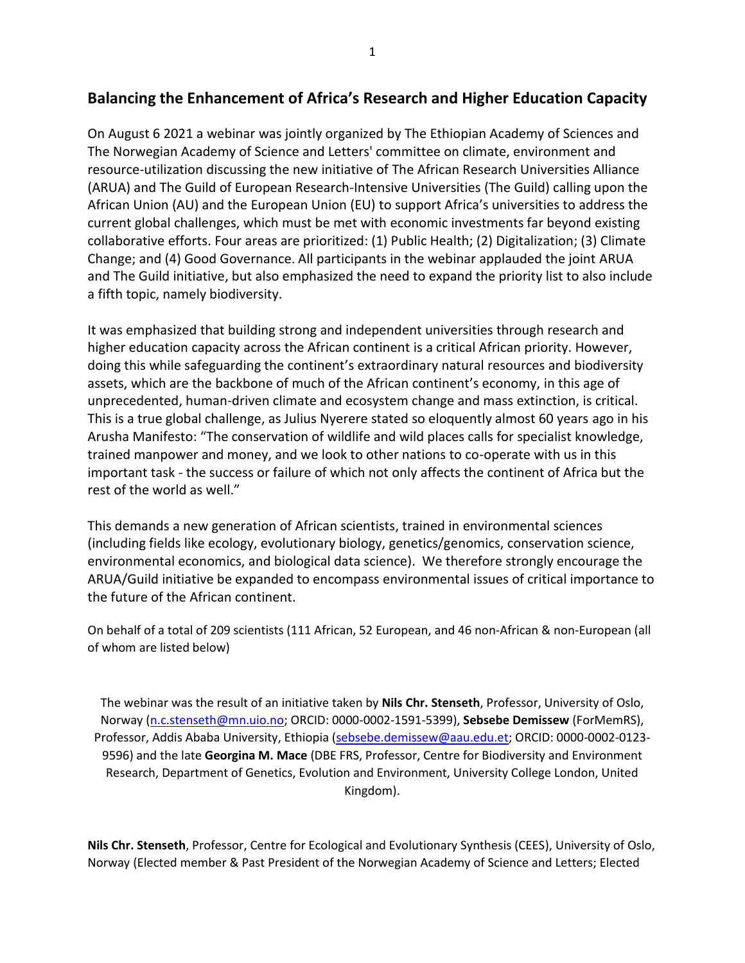## **Balancing the Enhancement of Africa's Research and Higher Education Capacity**

On August 6 2021 a webinar was jointly organized by The Ethiopian Academy of Sciences and The Norwegian Academy of Science and Letters' committee on climate, environment and resource-utilization discussing the new initiative of The African Research Universities Alliance (ARUA) and The Guild of European Research-Intensive Universities (The Guild) calling upon the African Union (AU) and the European Union (EU) to support Africa's universities to address the current global challenges, which must be met with economic investments far beyond existing collaborative efforts. Four areas are prioritized: (1) Public Health; (2) Digitalization; (3) Climate Change; and (4) Good Governance. All participants in the webinar applauded the joint ARUA and The Guild initiative, but also emphasized the need to expand the priority list to also include a fifth topic, namely biodiversity.

It was emphasized that building strong and independent universities through research and higher education capacity across the African continent is a critical African priority. However, doing this while safeguarding the continent's extraordinary natural resources and biodiversity assets, which are the backbone of much of the African continent's economy, in this age of unprecedented, human-driven climate and ecosystem change and mass extinction, is critical. This is a true global challenge, as Julius Nyerere stated so eloquently almost 60 years ago in his Arusha Manifesto: "The conservation of wildlife and wild places calls for specialist knowledge, trained manpower and money, and we look to other nations to co-operate with us in this important task - the success or failure of which not only affects the continent of Africa but the rest of the world as well."

This demands a new generation of African scientists, trained in environmental sciences (including fields like ecology, evolutionary biology, genetics/genomics, conservation science, environmental economics, and biological data science). We therefore strongly encourage the ARUA/Guild initiative be expanded to encompass environmental issues of critical importance to the future of the African continent.

On behalf of a total of 209 scientists (111 African, 52 European, and 46 non-African & non-European (all of whom are listed below)

The webinar was the result of an initiative taken by **Nils Chr. Stenseth**, Professor, University of Oslo, Norway [\(n.c.stenseth@mn.uio.no;](mailto:n.c.stenseth@mn.uio.no) ORCID: 0000-0002-1591-5399), **Sebsebe Demissew** (ForMemRS), Professor, Addis Ababa University, Ethiopia [\(sebsebe.demissew@aau.edu.et;](mailto:sebsebe.demissew@aau.edu.et) ORCID: 0000-0002-0123- 9596) and the late **Georgina M. Mace** (DBE FRS, Professor, Centre for Biodiversity and Environment Research, Department of Genetics, Evolution and Environment, University College London, United Kingdom).

**Nils Chr. Stenseth**, Professor, Centre for Ecological and Evolutionary Synthesis (CEES), University of Oslo, Norway (Elected member & Past President of the Norwegian Academy of Science and Letters; Elected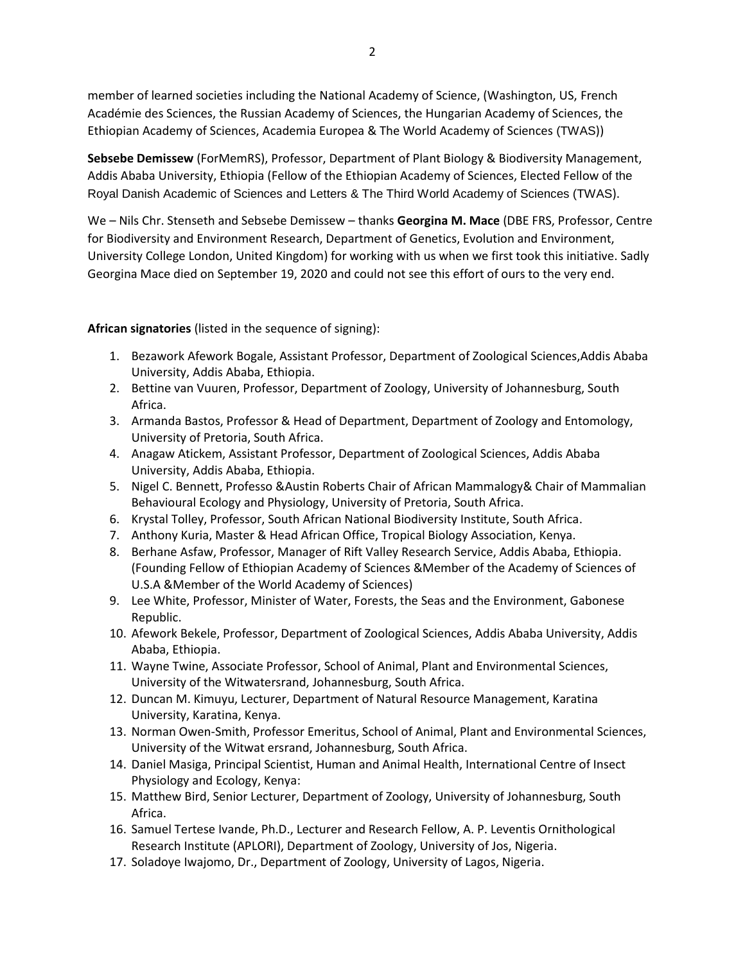member of learned societies including the National Academy of Science, (Washington, US, French Académie des Sciences, the Russian Academy of Sciences, the Hungarian Academy of Sciences, the Ethiopian Academy of Sciences, Academia Europea & The World Academy of Sciences (TWAS))

**Sebsebe Demissew** (ForMemRS), Professor, Department of Plant Biology & Biodiversity Management, Addis Ababa University, Ethiopia (Fellow of the Ethiopian Academy of Sciences, Elected Fellow of the Royal Danish Academic of Sciences and Letters & The Third World Academy of Sciences (TWAS).

We – Nils Chr. Stenseth and Sebsebe Demissew – thanks **Georgina M. Mace** (DBE FRS, Professor, Centre for Biodiversity and Environment Research, Department of Genetics, Evolution and Environment, University College London, United Kingdom) for working with us when we first took this initiative. Sadly Georgina Mace died on September 19, 2020 and could not see this effort of ours to the very end.

**African signatories** (listed in the sequence of signing):

- 1. Bezawork Afework Bogale, Assistant Professor, Department of Zoological Sciences,Addis Ababa University, Addis Ababa, Ethiopia.
- 2. Bettine van Vuuren, Professor, Department of Zoology, University of Johannesburg, South Africa.
- 3. Armanda Bastos, Professor & Head of Department, Department of Zoology and Entomology, University of Pretoria, South Africa.
- 4. Anagaw Atickem, Assistant Professor, Department of Zoological Sciences, Addis Ababa University, Addis Ababa, Ethiopia.
- 5. Nigel C. Bennett, Professo &Austin Roberts Chair of African Mammalogy& Chair of Mammalian Behavioural Ecology and Physiology, University of Pretoria, South Africa.
- 6. Krystal Tolley, Professor, South African National Biodiversity Institute, South Africa.
- 7. Anthony Kuria, Master & Head African Office, Tropical Biology Association, Kenya.
- 8. Berhane Asfaw, Professor, Manager of Rift Valley Research Service, Addis Ababa, Ethiopia. (Founding Fellow of Ethiopian Academy of Sciences &Member of the Academy of Sciences of U.S.A &Member of the World Academy of Sciences)
- 9. Lee White, Professor, Minister of Water, Forests, the Seas and the Environment, Gabonese Republic.
- 10. Afework Bekele, Professor, Department of Zoological Sciences, Addis Ababa University, Addis Ababa, Ethiopia.
- 11. Wayne Twine, Associate Professor, School of Animal, Plant and Environmental Sciences, University of the Witwatersrand, Johannesburg, South Africa.
- 12. Duncan M. Kimuyu, Lecturer, Department of Natural Resource Management, Karatina University, Karatina, Kenya.
- 13. Norman Owen-Smith, Professor Emeritus, School of Animal, Plant and Environmental Sciences, University of the Witwat ersrand, Johannesburg, South Africa.
- 14. Daniel Masiga, Principal Scientist, Human and Animal Health, International Centre of Insect Physiology and Ecology, Kenya:
- 15. Matthew Bird, Senior Lecturer, Department of Zoology, University of Johannesburg, South Africa.
- 16. Samuel Tertese Ivande, Ph.D., Lecturer and Research Fellow, A. P. Leventis Ornithological Research Institute (APLORI), Department of Zoology, University of Jos, Nigeria.
- 17. Soladoye Iwajomo, Dr., Department of Zoology, University of Lagos, Nigeria.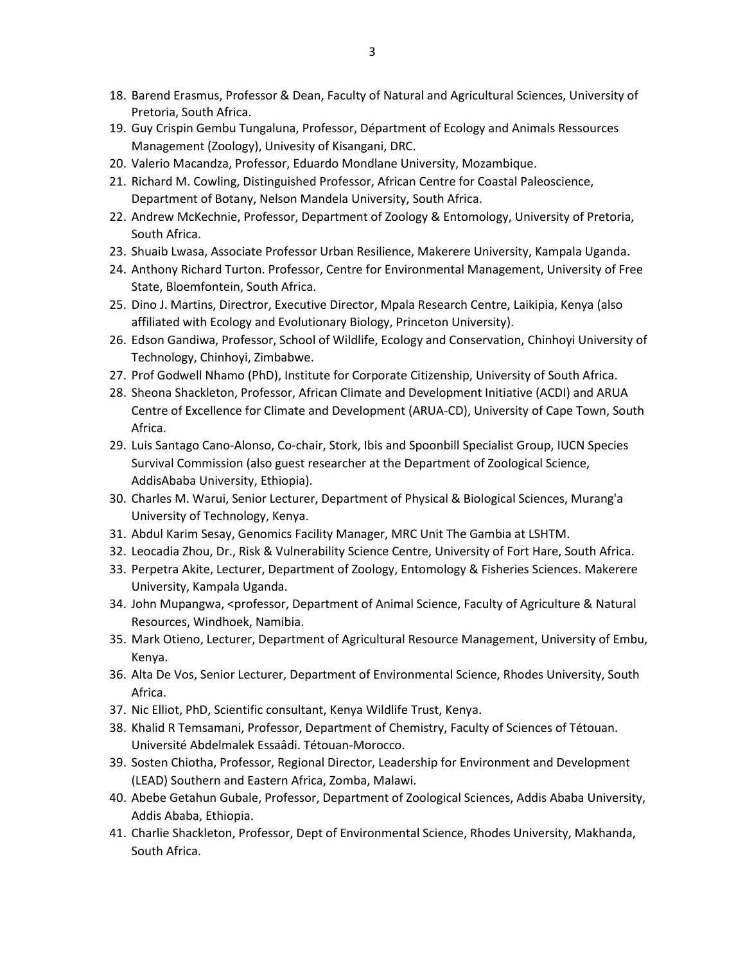- 18. Barend Erasmus, Professor & Dean, Faculty of Natural and Agricultural Sciences, University of Pretoria, South Africa.
- 19. Guy Crispin Gembu Tungaluna, Professor, Départment of Ecology and Animals Ressources Management (Zoology), Univesity of Kisangani, DRC.
- 20. Valerio Macandza, Professor, Eduardo Mondlane University, Mozambique.
- 21. Richard M. Cowling, Distinguished Professor, African Centre for Coastal Paleoscience, Department of Botany, Nelson Mandela University, South Africa.
- 22. Andrew McKechnie, Professor, Department of Zoology & Entomology, University of Pretoria, South Africa.
- 23. Shuaib Lwasa, Associate Professor Urban Resilience, Makerere University, Kampala Uganda.
- 24. Anthony Richard Turton. Professor, Centre for Environmental Management, University of Free State, Bloemfontein, South Africa.
- 25. Dino J. Martins, Directror, Executive Director, Mpala Research Centre, Laikipia, Kenya (also affiliated with Ecology and Evolutionary Biology, Princeton University).
- 26. Edson Gandiwa, Professor, School of Wildlife, Ecology and Conservation, Chinhoyi University of Technology, Chinhoyi, Zimbabwe.
- 27. Prof Godwell Nhamo (PhD), Institute for Corporate Citizenship, University of South Africa.
- 28. Sheona Shackleton, Professor, African Climate and Development Initiative (ACDI) and ARUA Centre of Excellence for Climate and Development (ARUA-CD), University of Cape Town, South Africa.
- 29. Luis Santago Cano-Alonso, Co-chair, Stork, Ibis and Spoonbill Specialist Group, IUCN Species Survival Commission (also guest researcher at the Department of Zoological Science, AddisAbaba University, Ethiopia).
- 30. Charles M. Warui, Senior Lecturer, Department of Physical & Biological Sciences, Murang'a University of Technology, Kenya.
- 31. Abdul Karim Sesay, Genomics Facility Manager, MRC Unit The Gambia at LSHTM.
- 32. Leocadia Zhou, Dr., Risk & Vulnerability Science Centre, University of Fort Hare, South Africa.
- 33. Perpetra Akite, Lecturer, Department of Zoology, Entomology & Fisheries Sciences. Makerere University, Kampala Uganda.
- 34. John Mupangwa, <professor, Department of Animal Science, Faculty of Agriculture & Natural Resources, Windhoek, Namibia.
- 35. Mark Otieno, Lecturer, Department of Agricultural Resource Management, University of Embu, Kenya.
- 36. Alta De Vos, Senior Lecturer, Department of Environmental Science, Rhodes University, South Africa.
- 37. Nic Elliot, PhD, Scientific consultant, Kenya Wildlife Trust, Kenya.
- 38. Khalid R Temsamani, Professor, Department of Chemistry, Faculty of Sciences of Tétouan. Université Abdelmalek Essaâdi. Tétouan-Morocco.
- 39. Sosten Chiotha, Professor, Regional Director, Leadership for Environment and Development (LEAD) Southern and Eastern Africa, Zomba, Malawi.
- 40. Abebe Getahun Gubale, Professor, Department of Zoological Sciences, Addis Ababa University, Addis Ababa, Ethiopia.
- 41. Charlie Shackleton, Professor, Dept of Environmental Science, Rhodes University, Makhanda, South Africa.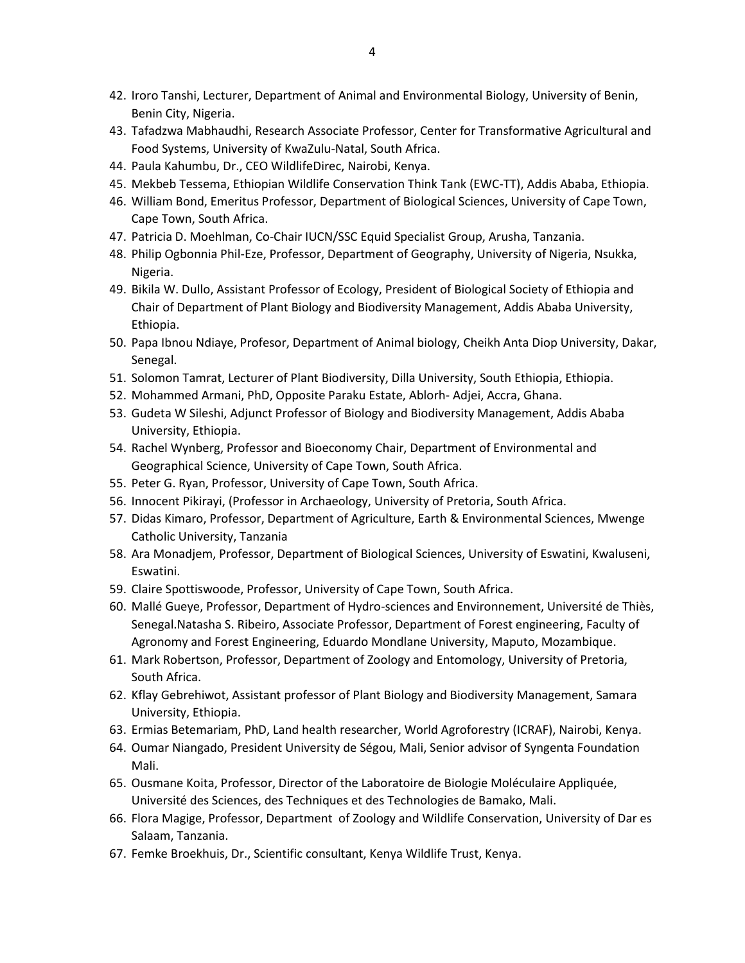- 42. Iroro Tanshi, Lecturer, Department of Animal and Environmental Biology, University of Benin, Benin City, Nigeria.
- 43. Tafadzwa Mabhaudhi, Research Associate Professor, Center for Transformative Agricultural and Food Systems, University of KwaZulu-Natal, South Africa.
- 44. Paula Kahumbu, Dr., CEO WildlifeDirec, Nairobi, Kenya.
- 45. Mekbeb Tessema, Ethiopian Wildlife Conservation Think Tank (EWC-TT), Addis Ababa, Ethiopia.
- 46. William Bond, Emeritus Professor, Department of Biological Sciences, University of Cape Town, Cape Town, South Africa.
- 47. Patricia D. Moehlman, Co-Chair IUCN/SSC Equid Specialist Group, Arusha, Tanzania.
- 48. Philip Ogbonnia Phil-Eze, Professor, Department of Geography, University of Nigeria, Nsukka, Nigeria.
- 49. Bikila W. Dullo, Assistant Professor of Ecology, President of Biological Society of Ethiopia and Chair of Department of Plant Biology and Biodiversity Management, Addis Ababa University, Ethiopia.
- 50. Papa Ibnou Ndiaye, Profesor, Department of Animal biology, Cheikh Anta Diop University, Dakar, Senegal.
- 51. Solomon Tamrat, Lecturer of Plant Biodiversity, Dilla University, South Ethiopia, Ethiopia.
- 52. Mohammed Armani, PhD, Opposite Paraku Estate, Ablorh- Adjei, Accra, Ghana.
- 53. Gudeta W Sileshi, Adjunct Professor of Biology and Biodiversity Management, Addis Ababa University, Ethiopia.
- 54. Rachel Wynberg, Professor and Bioeconomy Chair, Department of Environmental and Geographical Science, University of Cape Town, South Africa.
- 55. Peter G. Ryan, Professor, University of Cape Town, South Africa.
- 56. Innocent Pikirayi, (Professor in Archaeology, University of Pretoria, South Africa.
- 57. Didas Kimaro, Professor, Department of Agriculture, Earth & Environmental Sciences, Mwenge Catholic University, Tanzania
- 58. Ara Monadjem, Professor, Department of Biological Sciences, University of Eswatini, Kwaluseni, Eswatini.
- 59. Claire Spottiswoode, Professor, University of Cape Town, South Africa.
- 60. Mallé Gueye, Professor, Department of Hydro-sciences and Environnement, Université de Thiès, Senegal.Natasha S. Ribeiro, Associate Professor, Department of Forest engineering, Faculty of Agronomy and Forest Engineering, Eduardo Mondlane University, Maputo, Mozambique.
- 61. Mark Robertson, Professor, Department of Zoology and Entomology, University of Pretoria, South Africa.
- 62. Kflay Gebrehiwot, Assistant professor of Plant Biology and Biodiversity Management, Samara University, Ethiopia.
- 63. Ermias Betemariam, PhD, Land health researcher, World Agroforestry (ICRAF), Nairobi, Kenya.
- 64. Oumar Niangado, President University de Ségou, Mali, Senior advisor of Syngenta Foundation Mali.
- 65. Ousmane Koita, Professor, Director of the Laboratoire de Biologie Moléculaire Appliquée, Université des Sciences, des Techniques et des Technologies de Bamako, Mali.
- 66. Flora Magige, Professor, Department of Zoology and Wildlife Conservation, University of Dar es Salaam, Tanzania.
- 67. Femke Broekhuis, Dr., Scientific consultant, Kenya Wildlife Trust, Kenya.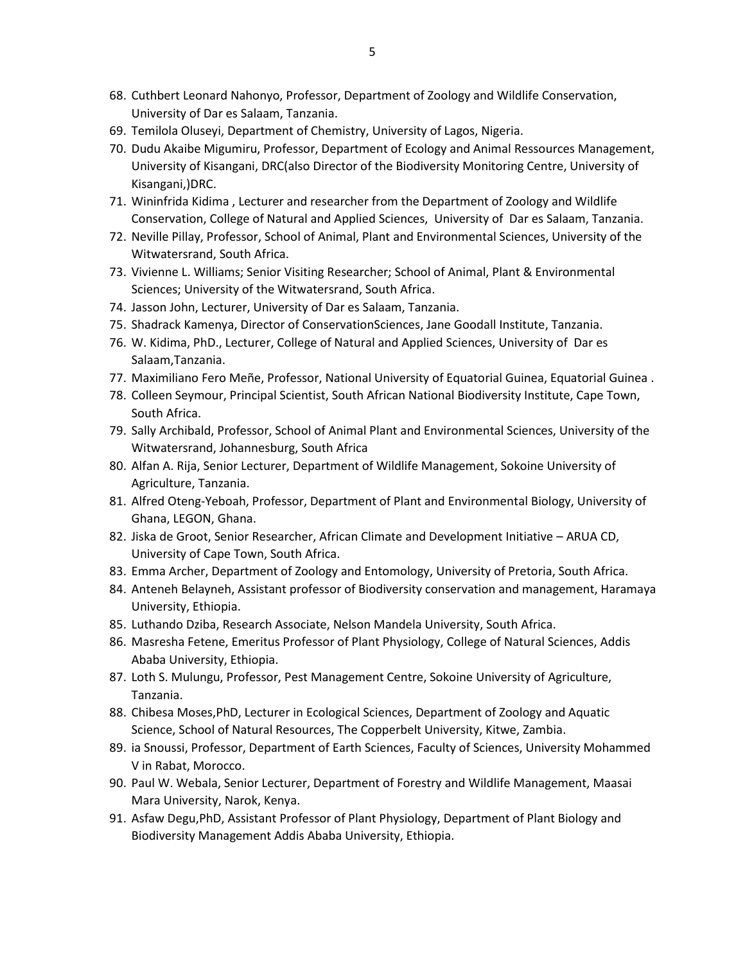- 68. Cuthbert Leonard Nahonyo, Professor, Department of Zoology and Wildlife Conservation, University of Dar es Salaam, Tanzania.
- 69. Temilola Oluseyi, Department of Chemistry, University of Lagos, Nigeria.
- 70. Dudu Akaibe Migumiru, Professor, Department of Ecology and Animal Ressources Management, University of Kisangani, DRC(also Director of the Biodiversity Monitoring Centre, University of Kisangani,)DRC.
- 71. Wininfrida Kidima , Lecturer and researcher from the Department of Zoology and Wildlife Conservation, College of Natural and Applied Sciences, University of Dar es Salaam, Tanzania.
- 72. Neville Pillay, Professor, School of Animal, Plant and Environmental Sciences, University of the Witwatersrand, South Africa.
- 73. Vivienne L. Williams; Senior Visiting Researcher; School of Animal, Plant & Environmental Sciences; University of the Witwatersrand, South Africa.
- 74. Jasson John, Lecturer, University of Dar es Salaam, Tanzania.
- 75. Shadrack Kamenya, Director of ConservationSciences, Jane Goodall Institute, Tanzania.
- 76. W. Kidima, PhD., Lecturer, College of Natural and Applied Sciences, University of Dar es Salaam,Tanzania.
- 77. Maximiliano Fero Meñe, Professor, National University of Equatorial Guinea, Equatorial Guinea .
- 78. Colleen Seymour, Principal Scientist, South African National Biodiversity Institute, Cape Town, South Africa.
- 79. Sally Archibald, Professor, School of Animal Plant and Environmental Sciences, University of the Witwatersrand, Johannesburg, South Africa
- 80. Alfan A. Rija, Senior Lecturer, Department of Wildlife Management, Sokoine University of Agriculture, Tanzania.
- 81. Alfred Oteng-Yeboah, Professor, Department of Plant and Environmental Biology, University of Ghana, LEGON, Ghana.
- 82. Jiska de Groot, Senior Researcher, African Climate and Development Initiative ARUA CD, University of Cape Town, South Africa.
- 83. Emma Archer, Department of Zoology and Entomology, University of Pretoria, South Africa.
- 84. Anteneh Belayneh, Assistant professor of Biodiversity conservation and management, Haramaya University, Ethiopia.
- 85. Luthando Dziba, Research Associate, Nelson Mandela University, South Africa.
- 86. Masresha Fetene, Emeritus Professor of Plant Physiology, College of Natural Sciences, Addis Ababa University, Ethiopia.
- 87. Loth S. Mulungu, Professor, Pest Management Centre, Sokoine University of Agriculture, Tanzania.
- 88. Chibesa Moses,PhD, Lecturer in Ecological Sciences, Department of Zoology and Aquatic Science, School of Natural Resources, The Copperbelt University, Kitwe, Zambia.
- 89. ia Snoussi, Professor, Department of Earth Sciences, Faculty of Sciences, University Mohammed V in Rabat, Morocco.
- 90. Paul W. Webala, Senior Lecturer, Department of Forestry and Wildlife Management, Maasai Mara University, Narok, Kenya.
- 91. Asfaw Degu,PhD, Assistant Professor of Plant Physiology, Department of Plant Biology and Biodiversity Management Addis Ababa University, Ethiopia.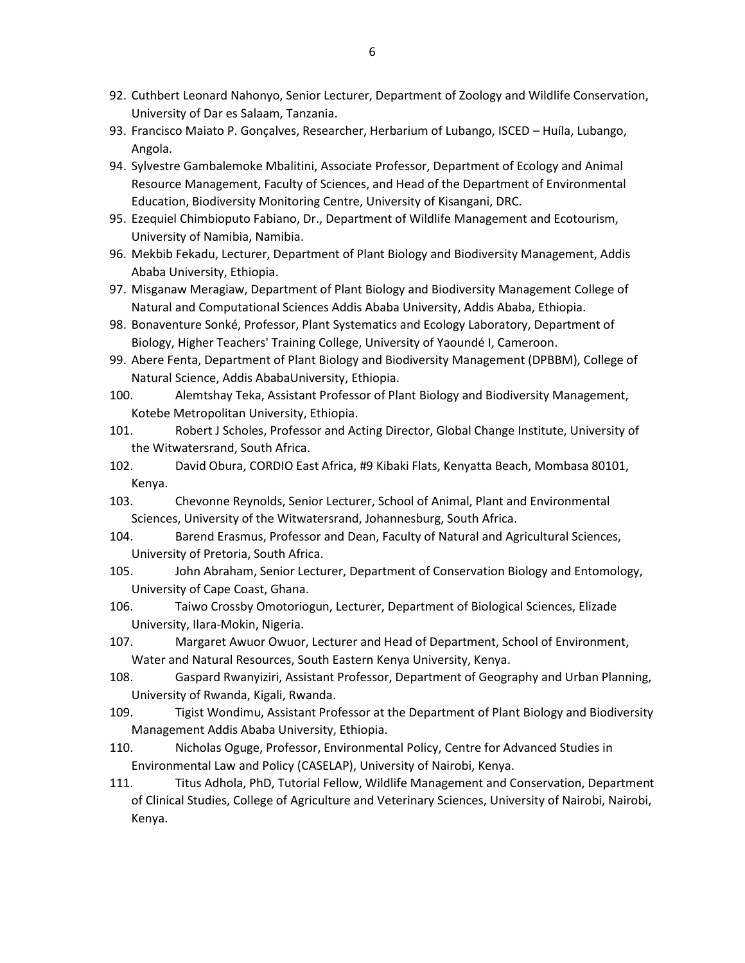- 92. Cuthbert Leonard Nahonyo, Senior Lecturer, Department of Zoology and Wildlife Conservation, University of Dar es Salaam, Tanzania.
- 93. Francisco Maiato P. Gonçalves, Researcher, Herbarium of Lubango, ISCED Huíla, Lubango, Angola.
- 94. Sylvestre Gambalemoke Mbalitini, Associate Professor, Department of Ecology and Animal Resource Management, Faculty of Sciences, and Head of the Department of Environmental Education, Biodiversity Monitoring Centre, University of Kisangani, DRC.
- 95. Ezequiel Chimbioputo Fabiano, Dr., Department of Wildlife Management and Ecotourism, University of Namibia, Namibia.
- 96. Mekbib Fekadu, Lecturer, Department of Plant Biology and Biodiversity Management, Addis Ababa University, Ethiopia.
- 97. Misganaw Meragiaw, Department of Plant Biology and Biodiversity Management College of Natural and Computational Sciences Addis Ababa University, Addis Ababa, Ethiopia.
- 98. Bonaventure Sonké, Professor, Plant Systematics and Ecology Laboratory, Department of Biology, Higher Teachers' Training College, University of Yaoundé I, Cameroon.
- 99. Abere Fenta, Department of Plant Biology and Biodiversity Management (DPBBM), College of Natural Science, Addis AbabaUniversity, Ethiopia.
- 100. Alemtshay Teka, Assistant Professor of Plant Biology and Biodiversity Management, Kotebe Metropolitan University, Ethiopia.
- 101. Robert J Scholes, Professor and Acting Director, Global Change Institute, University of the Witwatersrand, South Africa.
- 102. David Obura, CORDIO East Africa, #9 Kibaki Flats, Kenyatta Beach, Mombasa 80101, Kenya.
- 103. Chevonne Reynolds, Senior Lecturer, School of Animal, Plant and Environmental Sciences, University of the Witwatersrand, Johannesburg, South Africa.
- 104. Barend Erasmus, Professor and Dean, Faculty of Natural and Agricultural Sciences, University of Pretoria, South Africa.
- 105. John Abraham, Senior Lecturer, Department of Conservation Biology and Entomology, University of Cape Coast, Ghana.
- 106. Taiwo Crossby Omotoriogun, Lecturer, Department of Biological Sciences, Elizade University, Ilara-Mokin, Nigeria.
- 107. Margaret Awuor Owuor, Lecturer and Head of Department, School of Environment, Water and Natural Resources, South Eastern Kenya University, Kenya.
- 108. Gaspard Rwanyiziri, Assistant Professor, Department of Geography and Urban Planning, University of Rwanda, Kigali, Rwanda.
- 109. Tigist Wondimu, Assistant Professor at the Department of Plant Biology and Biodiversity Management Addis Ababa University, Ethiopia.
- 110. Nicholas Oguge, Professor, Environmental Policy, Centre for Advanced Studies in Environmental Law and Policy (CASELAP), University of Nairobi, Kenya.
- 111. Titus Adhola, PhD, Tutorial Fellow, Wildlife Management and Conservation, Department of Clinical Studies, College of Agriculture and Veterinary Sciences, University of Nairobi, Nairobi, Kenya.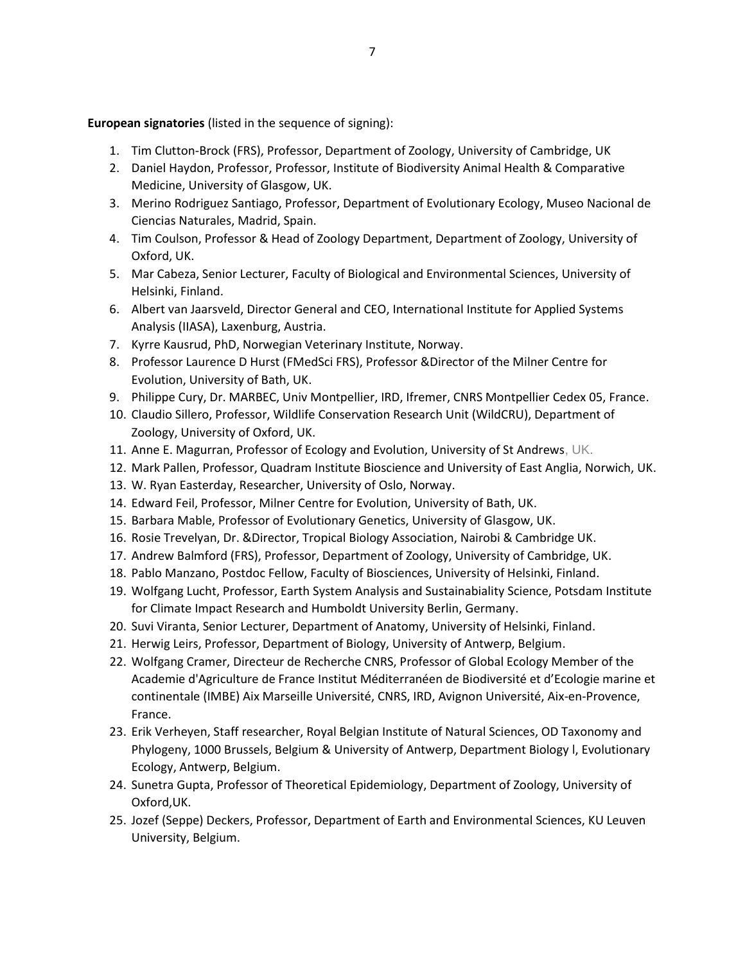**European signatories** (listed in the sequence of signing):

- 1. Tim Clutton-Brock (FRS), Professor, Department of Zoology, University of Cambridge, UK
- 2. Daniel Haydon, Professor, Professor, Institute of Biodiversity Animal Health & Comparative Medicine, University of Glasgow, UK.
- 3. Merino Rodriguez Santiago, Professor, Department of Evolutionary Ecology, Museo Nacional de Ciencias Naturales, Madrid, Spain.
- 4. Tim Coulson, Professor & Head of Zoology Department, Department of Zoology, University of Oxford, UK.
- 5. Mar Cabeza, Senior Lecturer, Faculty of Biological and Environmental Sciences, University of Helsinki, Finland.
- 6. Albert van Jaarsveld, Director General and CEO, International Institute for Applied Systems Analysis (IIASA), Laxenburg, Austria.
- 7. Kyrre Kausrud, PhD, Norwegian Veterinary Institute, Norway.
- 8. Professor Laurence D Hurst (FMedSci FRS), Professor &Director of the Milner Centre for Evolution, University of Bath, UK.
- 9. Philippe Cury, Dr. MARBEC, Univ Montpellier, IRD, Ifremer, CNRS Montpellier Cedex 05, France.
- 10. Claudio Sillero, Professor, Wildlife Conservation Research Unit (WildCRU), Department of Zoology, University of Oxford, UK.
- 11. Anne E. Magurran, Professor of Ecology and Evolution, University of St Andrews, UK.
- 12. Mark Pallen, Professor, Quadram Institute Bioscience and University of East Anglia, Norwich, UK.
- 13. W. Ryan Easterday, Researcher, University of Oslo, Norway.
- 14. Edward Feil, Professor, Milner Centre for Evolution, University of Bath, UK.
- 15. Barbara Mable, Professor of Evolutionary Genetics, University of Glasgow, UK.
- 16. Rosie Trevelyan, Dr. &Director, Tropical Biology Association, Nairobi & Cambridge UK.
- 17. Andrew Balmford (FRS), Professor, Department of Zoology, University of Cambridge, UK.
- 18. Pablo Manzano, Postdoc Fellow, Faculty of Biosciences, University of Helsinki, Finland.
- 19. Wolfgang Lucht, Professor, Earth System Analysis and Sustainabiality Science, Potsdam Institute for Climate Impact Research and Humboldt University Berlin, Germany.
- 20. Suvi Viranta, Senior Lecturer, Department of Anatomy, University of Helsinki, Finland.
- 21. Herwig Leirs, Professor, Department of Biology, University of Antwerp, Belgium.
- 22. Wolfgang Cramer, Directeur de Recherche CNRS, Professor of Global Ecology Member of the Academie d'Agriculture de France Institut Méditerranéen de Biodiversité et d'Ecologie marine et continentale (IMBE) Aix Marseille Université, CNRS, IRD, Avignon Université, Aix-en-Provence, France.
- 23. Erik Verheyen, Staff researcher, Royal Belgian Institute of Natural Sciences, OD Taxonomy and Phylogeny, 1000 Brussels, Belgium & University of Antwerp, Department Biology ׀, Evolutionary Ecology, Antwerp, Belgium.
- 24. Sunetra Gupta, Professor of Theoretical Epidemiology, Department of Zoology, University of Oxford,UK.
- 25. Jozef (Seppe) Deckers, Professor, Department of Earth and Environmental Sciences, KU Leuven University, Belgium.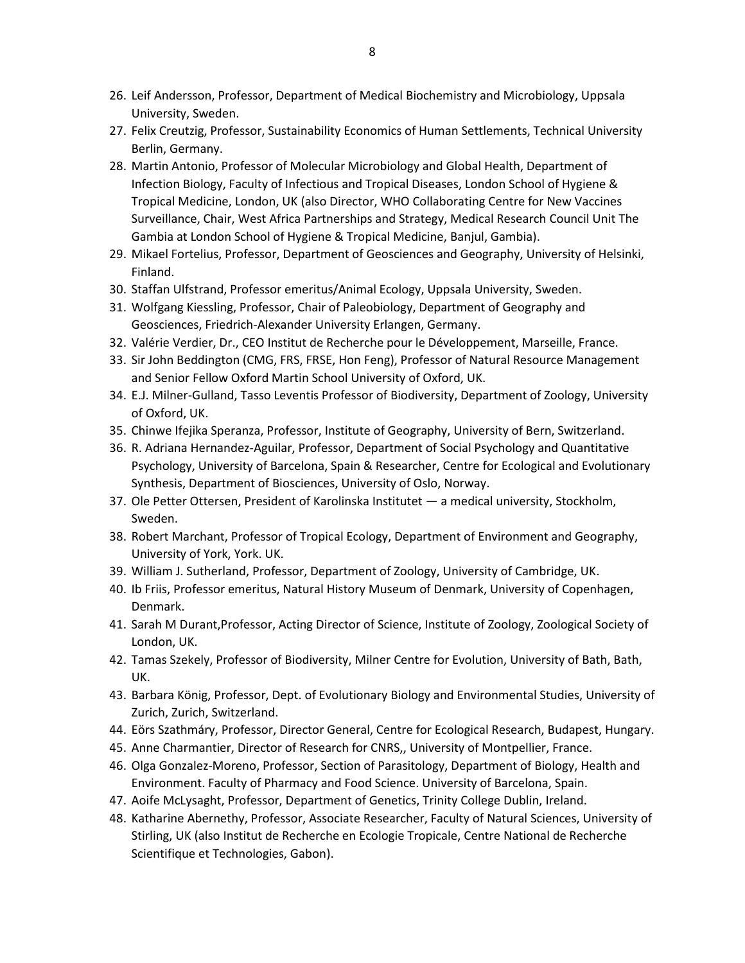- 26. Leif Andersson, Professor, Department of Medical Biochemistry and Microbiology, Uppsala University, Sweden.
- 27. Felix Creutzig, Professor, Sustainability Economics of Human Settlements, Technical University Berlin, Germany.
- 28. Martin Antonio, Professor of Molecular Microbiology and Global Health, Department of Infection Biology, Faculty of Infectious and Tropical Diseases, London School of Hygiene & Tropical Medicine, London, UK (also Director, WHO Collaborating Centre for New Vaccines Surveillance, Chair, West Africa Partnerships and Strategy, Medical Research Council Unit The Gambia at London School of Hygiene & Tropical Medicine, Banjul, Gambia).
- 29. Mikael Fortelius, Professor, Department of Geosciences and Geography, University of Helsinki, Finland.
- 30. Staffan Ulfstrand, Professor emeritus/Animal Ecology, Uppsala University, Sweden.
- 31. Wolfgang Kiessling, Professor, Chair of Paleobiology, Department of Geography and Geosciences, Friedrich-Alexander University Erlangen, Germany.
- 32. Valérie Verdier, Dr., CEO Institut de Recherche pour le Développement, Marseille, France.
- 33. Sir John Beddington (CMG, FRS, FRSE, Hon Feng), Professor of Natural Resource Management and Senior Fellow Oxford Martin School University of Oxford, UK.
- 34. E.J. Milner-Gulland, Tasso Leventis Professor of Biodiversity, Department of Zoology, University of Oxford, UK.
- 35. Chinwe Ifejika Speranza, Professor, Institute of Geography, University of Bern, Switzerland.
- 36. R. Adriana Hernandez-Aguilar, Professor, Department of Social Psychology and Quantitative Psychology, University of Barcelona, Spain & Researcher, Centre for Ecological and Evolutionary Synthesis, Department of Biosciences, University of Oslo, Norway.
- 37. Ole Petter Ottersen, President of Karolinska Institutet a medical university, Stockholm, Sweden.
- 38. Robert Marchant, Professor of Tropical Ecology, Department of Environment and Geography, University of York, York. UK.
- 39. William J. Sutherland, Professor, Department of Zoology, University of Cambridge, UK.
- 40. Ib Friis, Professor emeritus, Natural History Museum of Denmark, University of Copenhagen, Denmark.
- 41. Sarah M Durant,Professor, Acting Director of Science, Institute of Zoology, Zoological Society of London, UK.
- 42. Tamas Szekely, Professor of Biodiversity, Milner Centre for Evolution, University of Bath, Bath, UK.
- 43. Barbara König, Professor, Dept. of Evolutionary Biology and Environmental Studies, University of Zurich, Zurich, Switzerland.
- 44. Eörs Szathmáry, Professor, Director General, Centre for Ecological Research, Budapest, Hungary.
- 45. Anne Charmantier, Director of Research for CNRS,, University of Montpellier, France.
- 46. Olga Gonzalez-Moreno, Professor, Section of Parasitology, Department of Biology, Health and Environment. Faculty of Pharmacy and Food Science. University of Barcelona, Spain.
- 47. Aoife McLysaght, Professor, Department of Genetics, Trinity College Dublin, Ireland.
- 48. Katharine Abernethy, Professor, Associate Researcher, Faculty of Natural Sciences, University of Stirling, UK (also Institut de Recherche en Ecologie Tropicale, Centre National de Recherche Scientifique et Technologies, Gabon).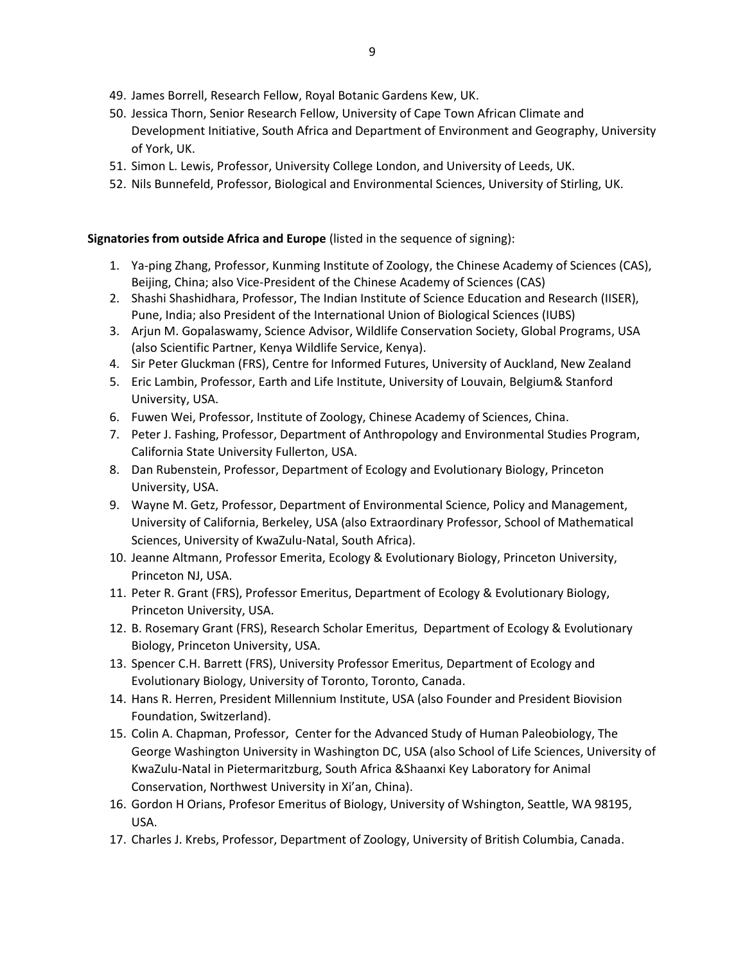- 49. James Borrell, Research Fellow, Royal Botanic Gardens Kew, UK.
- 50. Jessica Thorn, Senior Research Fellow, University of Cape Town African Climate and Development Initiative, South Africa and Department of Environment and Geography, University of York, UK.
- 51. Simon L. Lewis, Professor, University College London, and University of Leeds, UK.
- 52. Nils Bunnefeld, Professor, Biological and Environmental Sciences, University of Stirling, UK.

## **Signatories from outside Africa and Europe** (listed in the sequence of signing):

- 1. Ya-ping Zhang, Professor, Kunming Institute of Zoology, the Chinese Academy of Sciences (CAS), Beijing, China; also Vice-President of the Chinese Academy of Sciences (CAS)
- 2. Shashi Shashidhara, Professor, The Indian Institute of Science Education and Research (IISER), Pune, India; also President of the International Union of Biological Sciences (IUBS)
- 3. Arjun M. Gopalaswamy, Science Advisor, Wildlife Conservation Society, Global Programs, USA (also Scientific Partner, Kenya Wildlife Service, Kenya).
- 4. Sir Peter Gluckman (FRS), Centre for Informed Futures, University of Auckland, New Zealand
- 5. Eric Lambin, Professor, Earth and Life Institute, University of Louvain, Belgium& Stanford University, USA.
- 6. Fuwen Wei, Professor, Institute of Zoology, Chinese Academy of Sciences, China.
- 7. Peter J. Fashing, Professor, Department of Anthropology and Environmental Studies Program, California State University Fullerton, USA.
- 8. Dan Rubenstein, Professor, Department of Ecology and Evolutionary Biology, Princeton University, USA.
- 9. Wayne M. Getz, Professor, Department of Environmental Science, Policy and Management, University of California, Berkeley, USA (also Extraordinary Professor, School of Mathematical Sciences, University of KwaZulu-Natal, South Africa).
- 10. Jeanne Altmann, Professor Emerita, Ecology & Evolutionary Biology, Princeton University, Princeton NJ, USA.
- 11. Peter R. Grant (FRS), Professor Emeritus, Department of Ecology & Evolutionary Biology, Princeton University, USA.
- 12. B. Rosemary Grant (FRS), Research Scholar Emeritus, Department of Ecology & Evolutionary Biology, Princeton University, USA.
- 13. Spencer C.H. Barrett (FRS), University Professor Emeritus, Department of Ecology and Evolutionary Biology, University of Toronto, Toronto, Canada.
- 14. Hans R. Herren, President Millennium Institute, USA (also Founder and President Biovision Foundation, Switzerland).
- 15. Colin A. Chapman, Professor, Center for the Advanced Study of Human Paleobiology, The George Washington University in Washington DC, USA (also School of Life Sciences, University of KwaZulu-Natal in Pietermaritzburg, South Africa &Shaanxi Key Laboratory for Animal Conservation, Northwest University in Xi'an, China).
- 16. Gordon H Orians, Profesor Emeritus of Biology, University of Wshington, Seattle, WA 98195, USA.
- 17. Charles J. Krebs, Professor, Department of Zoology, University of British Columbia, Canada.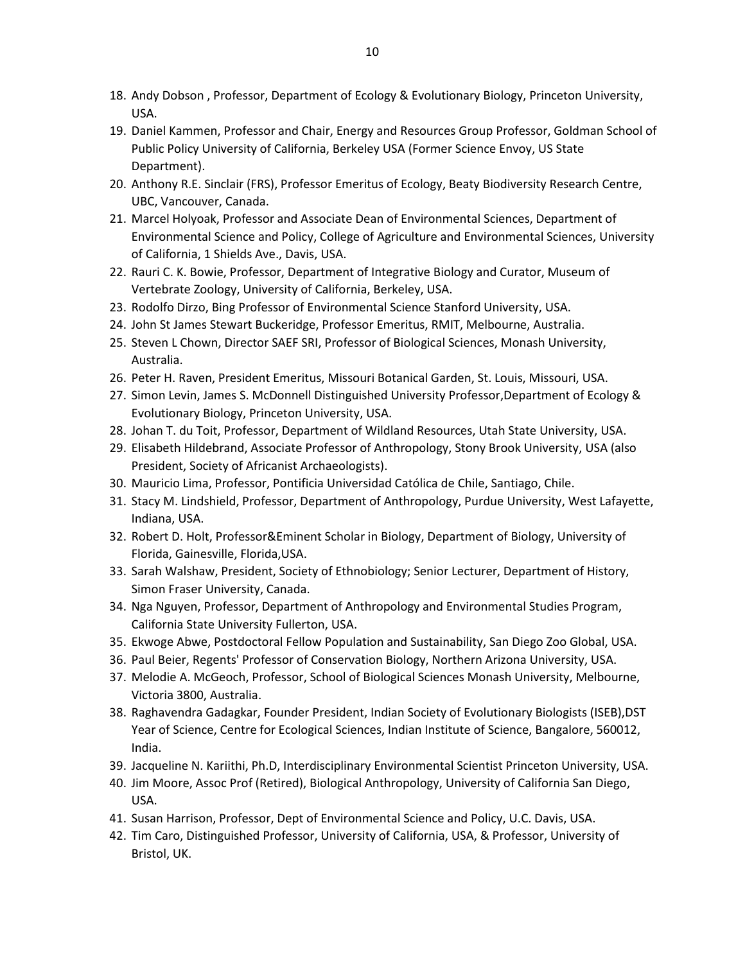- 18. Andy Dobson , Professor, Department of Ecology & Evolutionary Biology, Princeton University, USA.
- 19. Daniel Kammen, Professor and Chair, Energy and Resources Group Professor, Goldman School of Public Policy University of California, Berkeley USA (Former Science Envoy, US State Department).
- 20. Anthony R.E. Sinclair (FRS), Professor Emeritus of Ecology, Beaty Biodiversity Research Centre, UBC, Vancouver, Canada.
- 21. Marcel Holyoak, Professor and Associate Dean of Environmental Sciences, Department of Environmental Science and Policy, College of Agriculture and Environmental Sciences, University of California, 1 Shields Ave., Davis, USA.
- 22. Rauri C. K. Bowie, Professor, Department of Integrative Biology and Curator, Museum of Vertebrate Zoology, University of California, Berkeley, USA.
- 23. Rodolfo Dirzo, Bing Professor of Environmental Science Stanford University, USA.
- 24. John St James Stewart Buckeridge, Professor Emeritus, RMIT, Melbourne, Australia.
- 25. Steven L Chown, Director SAEF SRI, Professor of Biological Sciences, Monash University, Australia.
- 26. Peter H. Raven, President Emeritus, Missouri Botanical Garden, St. Louis, Missouri, USA.
- 27. Simon Levin, James S. McDonnell Distinguished University Professor,Department of Ecology & Evolutionary Biology, Princeton University, USA.
- 28. Johan T. du Toit, Professor, Department of Wildland Resources, Utah State University, USA.
- 29. Elisabeth Hildebrand, Associate Professor of Anthropology, Stony Brook University, USA (also President, Society of Africanist Archaeologists).
- 30. Mauricio Lima, Professor, Pontificia Universidad Católica de Chile, Santiago, Chile.
- 31. Stacy M. Lindshield, Professor, Department of Anthropology, Purdue University, West Lafayette, Indiana, USA.
- 32. Robert D. Holt, Professor&Eminent Scholar in Biology, Department of Biology, University of Florida, Gainesville, Florida,USA.
- 33. Sarah Walshaw, President, Society of Ethnobiology; Senior Lecturer, Department of History, Simon Fraser University, Canada.
- 34. Nga Nguyen, Professor, Department of Anthropology and Environmental Studies Program, California State University Fullerton, USA.
- 35. Ekwoge Abwe, Postdoctoral Fellow Population and Sustainability, San Diego Zoo Global, USA.
- 36. Paul Beier, Regents' Professor of Conservation Biology, Northern Arizona University, USA.
- 37. Melodie A. McGeoch, Professor, School of Biological Sciences Monash University, Melbourne, Victoria 3800, Australia.
- 38. Raghavendra Gadagkar, Founder President, Indian Society of Evolutionary Biologists (ISEB),DST Year of Science, Centre for Ecological Sciences, Indian Institute of Science, Bangalore, 560012, India.
- 39. Jacqueline N. Kariithi, Ph.D, Interdisciplinary Environmental Scientist Princeton University, USA.
- 40. Jim Moore, Assoc Prof (Retired), Biological Anthropology, University of California San Diego, USA.
- 41. Susan Harrison, Professor, Dept of Environmental Science and Policy, U.C. Davis, USA.
- 42. Tim Caro, Distinguished Professor, University of California, USA, & Professor, University of Bristol, UK.